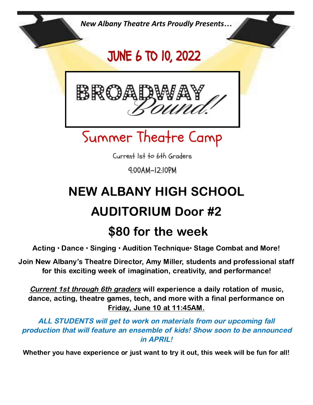*New Albany Theatre Arts Proudly Presents…*

## **JUNE 6 TO 10, 2022**



## Summer Theatre Camp

Current Ist to 6th Graders

4:00AM-I2:I0PM

# NEW ALBANY HIGH SCHOOL AUDITORIUM Door #2

### \$80 for the week

Acting • Dance • Singing • Audition Technique• Stage Combat and More!

Join New Albany's Theatre Director, Amy Miller, students and professional staff for this exciting week of imagination, creativity, and performance!

Current 1st through 6th graders will experience a daily rotation of music, dance, acting, theatre games, tech, and more with a final performance on Friday, June 10 at 11:45AM.

ALL STUDENTS will get to work on materials from our upcoming fall production that will feature an ensemble of kids! Show soon to be announced in APRIL!

Whether you have experience or just want to try it out, this week will be fun for all!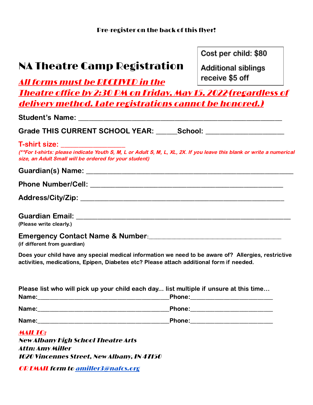#### NA Theatre Camp Registration

Cost per child: \$80

**Additional siblings** receive \$5 off

All forms must be RECEIVED in the Theatre office by 2:30 PM on Friday, May 15, 2022(regardless of delivery method. Late registrations cannot be honored.)

| Grade THIS CURRENT SCHOOL YEAR: ______School: __________________________________                                                                                                                                      |
|-----------------------------------------------------------------------------------------------------------------------------------------------------------------------------------------------------------------------|
| T-shirt size: ____________________<br>(**For t-shirts: please indicate Youth S, M, L or Adult S, M, L, XL, 2X. If you leave this blank or write a numerical<br>size, an Adult Small will be ordered for your student) |
|                                                                                                                                                                                                                       |
|                                                                                                                                                                                                                       |
|                                                                                                                                                                                                                       |
| (Please write clearly.)                                                                                                                                                                                               |
| Emergency Contact Name & Number: 2008 2010 2020 2021 2022 2023 2024 2024 2022 2023 2024 2022 2023 2024 2022 20<br>(if different from guardian)                                                                        |
| Does your child have any special medical information we need to be aware of? Allergies, restrictive<br>activities, medications, Epipen, Diabetes etc? Please attach additional form if needed.                        |

| Please list who will pick up your child each day list multiple if unsure at this time                                         |               |
|-------------------------------------------------------------------------------------------------------------------------------|---------------|
| Name:<br><u> 1980 - Andrea Barbara, poeta esperanto-poeta esperanto-poeta esperanto-poeta esperanto-poeta esperanto-poeta</u> |               |
| Name:                                                                                                                         | <b>Phone:</b> |
| Name:                                                                                                                         | <b>Phone:</b> |

MAIL TO: New Albany High School Theatre Arts Attn: Amy Miller 1020 Vincennes Street, New Albany, IN 47150

OR EMAIL form to [amiller3@nafcs.org](mailto:amiller3@nafcs.k12.in.us)